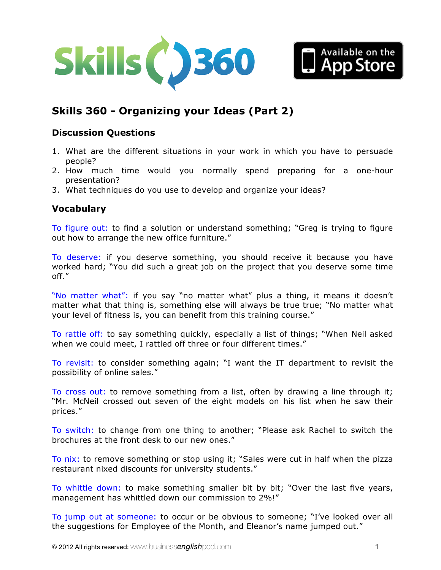



# **Skills 360 - [Organizing your Ideas \(Part 2\)](http://www.businessenglishpod.com/2012/10/28/business-english-skills-360-organizing-your-ideas-2/)**

# **Discussion Questions**

- 1. What are the different situations in your work in which you have to persuade people?
- 2. How much time would you normally spend preparing for a one-hour presentation?
- 3. What techniques do you use to develop and organize your ideas?

## **Vocabulary**

To figure out: to find a solution or understand something; "Greg is trying to figure out how to arrange the new office furniture."

To deserve: if you deserve something, you should receive it because you have worked hard; "You did such a great job on the project that you deserve some time off."

"No matter what": if you say "no matter what" plus a thing, it means it doesn't matter what that thing is, something else will always be true true; "No matter what your level of fitness is, you can benefit from this training course."

To rattle off: to say something quickly, especially a list of things; "When Neil asked when we could meet, I rattled off three or four different times."

To revisit: to consider something again; "I want the IT department to revisit the possibility of online sales."

To cross out: to remove something from a list, often by drawing a line through it; "Mr. McNeil crossed out seven of the eight models on his list when he saw their prices."

To switch: to change from one thing to another; "Please ask Rachel to switch the brochures at the front desk to our new ones."

To nix: to remove something or stop using it; "Sales were cut in half when the pizza restaurant nixed discounts for university students."

To whittle down: to make something smaller bit by bit; "Over the last five years, management has whittled down our commission to 2%!"

To jump out at someone: to occur or be obvious to someone; "I've looked over all the suggestions for Employee of the Month, and Eleanor's name jumped out."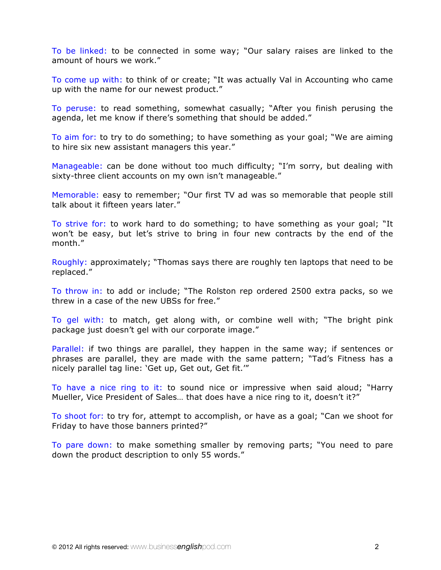To be linked: to be connected in some way; "Our salary raises are linked to the amount of hours we work."

To come up with: to think of or create; "It was actually Val in Accounting who came up with the name for our newest product."

To peruse: to read something, somewhat casually; "After you finish perusing the agenda, let me know if there's something that should be added."

To aim for: to try to do something; to have something as your goal; "We are aiming to hire six new assistant managers this year."

Manageable: can be done without too much difficulty; "I'm sorry, but dealing with sixty-three client accounts on my own isn't manageable."

Memorable: easy to remember; "Our first TV ad was so memorable that people still talk about it fifteen years later."

To strive for: to work hard to do something; to have something as your goal; "It won't be easy, but let's strive to bring in four new contracts by the end of the month."

Roughly: approximately; "Thomas says there are roughly ten laptops that need to be replaced."

To throw in: to add or include; "The Rolston rep ordered 2500 extra packs, so we threw in a case of the new UBSs for free."

To gel with: to match, get along with, or combine well with; "The bright pink package just doesn't gel with our corporate image."

Parallel: if two things are parallel, they happen in the same way; if sentences or phrases are parallel, they are made with the same pattern; "Tad's Fitness has a nicely parallel tag line: 'Get up, Get out, Get fit.'"

To have a nice ring to it: to sound nice or impressive when said aloud; "Harry Mueller, Vice President of Sales… that does have a nice ring to it, doesn't it?"

To shoot for: to try for, attempt to accomplish, or have as a goal; "Can we shoot for Friday to have those banners printed?"

To pare down: to make something smaller by removing parts; "You need to pare down the product description to only 55 words."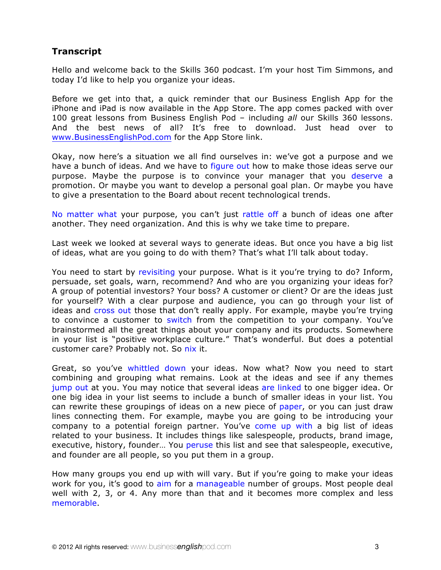# **Transcript**

Hello and welcome back to the Skills 360 podcast. I'm your host Tim Simmons, and today I'd like to help you organize your ideas.

Before we get into that, a quick reminder that our Business English App for the iPhone and iPad is now available in the App Store. The app comes packed with over 100 great lessons from Business English Pod – including *all* our Skills 360 lessons. And the best news of all? It's free to download. Just head over to www.BusinessEnglishPod.com for the App Store link.

Okay, now here's a situation we all find ourselves in: we've got a purpose and we have a bunch of ideas. And we have to figure out how to make those ideas serve our purpose. Maybe the purpose is to convince your manager that you deserve a promotion. Or maybe you want to develop a personal goal plan. Or maybe you have to give a presentation to the Board about recent technological trends.

No matter what your purpose, you can't just rattle off a bunch of ideas one after another. They need organization. And this is why we take time to prepare.

Last week we looked at several ways to generate ideas. But once you have a big list of ideas, what are you going to do with them? That's what I'll talk about today.

You need to start by revisiting your purpose. What is it you're trying to do? Inform, persuade, set goals, warn, recommend? And who are you organizing your ideas for? A group of potential investors? Your boss? A customer or client? Or are the ideas just for yourself? With a clear purpose and audience, you can go through your list of ideas and cross out those that don't really apply. For example, maybe you're trying to convince a customer to switch from the competition to your company. You've brainstormed all the great things about your company and its products. Somewhere in your list is "positive workplace culture." That's wonderful. But does a potential customer care? Probably not. So nix it.

Great, so you've whittled down your ideas. Now what? Now you need to start combining and grouping what remains. Look at the ideas and see if any themes jump out at you. You may notice that several ideas are linked to one bigger idea. Or one big idea in your list seems to include a bunch of smaller ideas in your list. You can rewrite these groupings of ideas on a new piece of paper, or you can just draw lines connecting them. For example, maybe you are going to be introducing your company to a potential foreign partner. You've come up with a big list of ideas related to your business. It includes things like salespeople, products, brand image, executive, history, founder… You peruse this list and see that salespeople, executive, and founder are all people, so you put them in a group.

How many groups you end up with will vary. But if you're going to make your ideas work for you, it's good to aim for a manageable number of groups. Most people deal well with 2, 3, or 4. Any more than that and it becomes more complex and less memorable.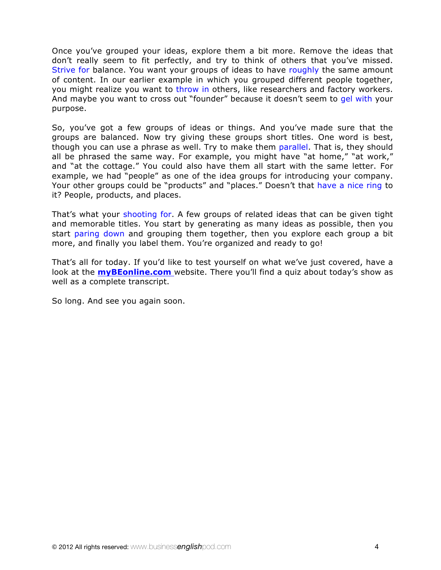Once you've grouped your ideas, explore them a bit more. Remove the ideas that don't really seem to fit perfectly, and try to think of others that you've missed. Strive for balance. You want your groups of ideas to have roughly the same amount of content. In our earlier example in which you grouped different people together, you might realize you want to throw in others, like researchers and factory workers. And maybe you want to cross out "founder" because it doesn't seem to gel with your purpose.

So, you've got a few groups of ideas or things. And you've made sure that the groups are balanced. Now try giving these groups short titles. One word is best, though you can use a phrase as well. Try to make them parallel. That is, they should all be phrased the same way. For example, you might have "at home," "at work," and "at the cottage." You could also have them all start with the same letter. For example, we had "people" as one of the idea groups for introducing your company. Your other groups could be "products" and "places." Doesn't that have a nice ring to it? People, products, and places.

That's what your shooting for. A few groups of related ideas that can be given tight and memorable titles. You start by generating as many ideas as possible, then you start paring down and grouping them together, then you explore each group a bit more, and finally you label them. You're organized and ready to go!

That's all for today. If you'd like to test yourself on what we've just covered, have a look at the **myBEonline.com** website. There you'll find a quiz about today's show as well as a complete transcript.

So long. And see you again soon.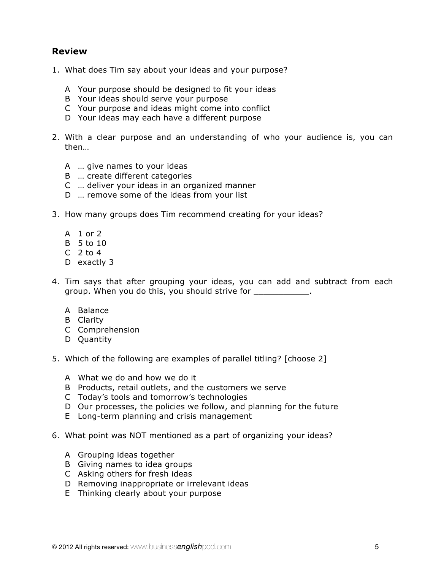## **Review**

- 1. What does Tim say about your ideas and your purpose?
	- A Your purpose should be designed to fit your ideas
	- B Your ideas should serve your purpose
	- C Your purpose and ideas might come into conflict
	- D Your ideas may each have a different purpose
- 2. With a clear purpose and an understanding of who your audience is, you can then…
	- A … give names to your ideas
	- B … create different categories
	- C … deliver your ideas in an organized manner
	- D … remove some of the ideas from your list
- 3. How many groups does Tim recommend creating for your ideas?
	- A 1 or 2
	- B 5 to 10
	- $C<sub>2</sub>$  to 4
	- D exactly 3
- 4. Tim says that after grouping your ideas, you can add and subtract from each group. When you do this, you should strive for  $\qquad \qquad$ .
	- A Balance
	- B Clarity
	- C Comprehension
	- D Quantity
- 5. Which of the following are examples of parallel titling? [choose 2]
	- A What we do and how we do it
	- B Products, retail outlets, and the customers we serve
	- C Today's tools and tomorrow's technologies
	- D Our processes, the policies we follow, and planning for the future
	- E Long-term planning and crisis management
- 6. What point was NOT mentioned as a part of organizing your ideas?
	- A Grouping ideas together
	- B Giving names to idea groups
	- C Asking others for fresh ideas
	- D Removing inappropriate or irrelevant ideas
	- E Thinking clearly about your purpose